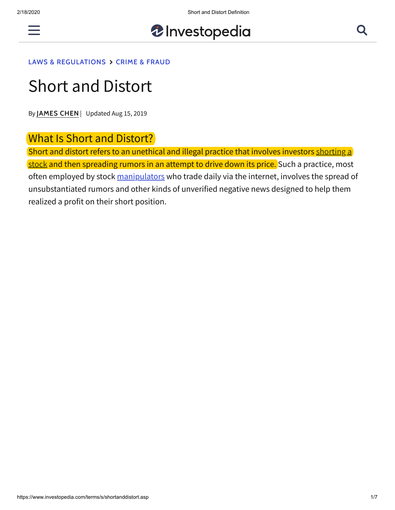

# *U* Investopedia

#### **[LAWS & REGULATIONS](https://www.investopedia.com/laws-and-regulations-4427769) [CRIME & FRAUD](https://www.investopedia.com/crime-and-fraud-4427767)**

# Short and Distort

By **[JAMES CHEN](https://www.investopedia.com/contributors/101529/)** | Updated Aug 15, 2019

#### What Is Short and Distort?

Short and distort refers to an unethical and illegal practice that involves investors shorting a [stock and then spreading rumors in an attempt to drive down its price. Such a practice, most](https://www.investopedia.com/terms/s/shortselling.asp) often employed by stock [manipulators](https://www.investopedia.com/terms/m/manipulation.asp) who trade daily via the internet, involves the spread of unsubstantiated rumors and other kinds of unverified negative news designed to help them realized a profit on their short position.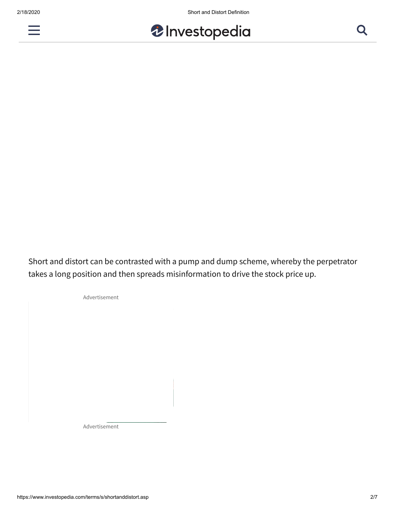



Short and distort can be contrasted with a pump and dump scheme, whereby the perpetrator takes a long position and then spreads misinformation to drive the stock price up.

Advertisement

Advertisement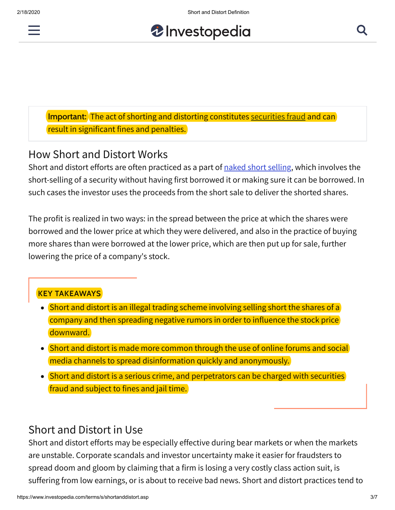

*U* Investopedia

**Important:** The act of shorting and distorting constitutes [securities fraud](https://www.investopedia.com/terms/s/securities-fraud.asp) and can result in significant fines and penalties.

# How Short and Distort Works

Short and distort efforts are often practiced as a part of [naked short selling](https://www.investopedia.com/terms/n/nakedshorting.asp), which involves the short-selling of a security without having first borrowed it or making sure it can be borrowed. In such cases the investor uses the proceeds from the short sale to deliver the shorted shares.

The profit is realized in two ways: in the spread between the price at which the shares were borrowed and the lower price at which they were delivered, and also in the practice of buying more shares than were borrowed at the lower price, which are then put up for sale, further lowering the price of a company's stock.

#### **KEY TAKEAWAYS**

- $\bullet$  Short and distort is an illegal trading scheme involving selling short the shares of a  $\overline{\phantom{a}}$ company and then spreading negative rumors in order to influence the stock price downward.
- Short and distort is made more common through the use of online forums and social media channels to spread disinformation quickly and anonymously.
- Short and distort is a serious crime, and perpetrators can be charged with securities fraud and subject to fines and jail time.

# Short and Distort in Use

Short and distort efforts may be especially effective during bear markets or when the markets are unstable. Corporate scandals and investor uncertainty make it easier for fraudsters to spread doom and gloom by claiming that a firm is losing a very costly class action suit, is suffering from low earnings, or is about to receive bad news. Short and distort practices tend to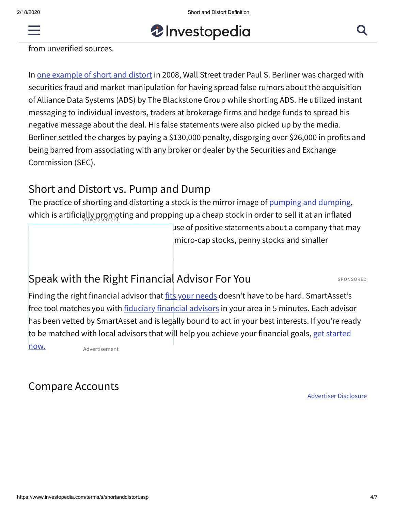



from unverified sources.

In [one example of short and distort](https://www.sec.gov/news/press/2008/2008-64.htm) in 2008, Wall Street trader Paul S. Berliner was charged with securities fraud and market manipulation for having spread false rumors about the acquisition of Alliance Data Systems (ADS) by The Blackstone Group while shorting ADS. He utilized instant messaging to individual investors, traders at brokerage firms and hedge funds to spread his negative message about the deal. His false statements were also picked up by the media. Berliner settled the charges by paying a \$130,000 penalty, disgorging over \$26,000 in profits and being barred from associating with any broker or dealer by the Securities and Exchange Commission (SEC).

# Short and Distort vs. Pump and Dump

The practice of shorting and distorting a stock is the mirror image of [pumping and dumping,](https://www.investopedia.com/terms/p/pumpanddump.asp) which is artificially promoting and propping up a cheap stock in order to sell it at an inflated Advertisement

 $\mu$ se of positive statements about a company that may micro-cap stocks, penny stocks and smaller

# [Speak with the Right Financial](https://adclick.g.doubleclick.net/pcs/click?xai=AKAOjsvW86jF8JkdDckJPGpj430KezuBTE5UQ2KzVYJ2lwg1sURKc37qOfdWmUc4qe3ehWvXZD4gh2izF5F4Gzwc1HUdY3DLkeIl5gud1JS3HcpR8N-RZ-sbB51czlJVrNvMjecdNYfXXF7UM6wlnJW5Yc_w4RWtdt9g2KgtzEjC0hzJ8HY9b-ytS7qoty-a0IQWs8CZyU_EdmQk4m3R_MzjQYMMeFt7g26_P7LmQtSs3RG_sWC1c83Z78Qj60PqsmUC8pqWRqXGHgxzp1HmbF6vNy8akd6ZnblQjZNFbeWELHux-IsFG9glhu98L3lJ7SbNA2Mr0DSPRwCShja4llMMc8x2Tj_dOWiSQl0M6dNGbENaIVTTycye5sidK4N0BSVDB9FpNFeERMkGyYGZpdoY6q8pP1rpY4xzdXV18GiklHXoQexDb7W3Obf6oV1XSJSt8Z4siK79eG7VbZQv7j3UgHEbpLVpcarQSIaDPmwlz1HMR0uhUeDuOXY2rV9H-mnR4vwpW3PW-PLoSabC_khbywmS28drfC5FHID3nmD3qc_O0hDl-lrpzWzNNgXtjlDqA9pfIgb4jcywgHyRmSOp8fBcd5s5qrIRF2uEvILLdD6hQ4rmaF5uGbpOjxB5vGYJvbnM42rTGAZ2ZswUuD3uKKSOuFlP9di9QQLtgmsrimoh37DTYBLK3HKQyFIyYMVDByhmW4AflGrrhv8dXnSicf8xAlhJne4GqhswmwjLDt7tgtI9L8MubIm9T7IVoGeGTLUCjxqGXLirxwx_JD5Q_4S2P6NDd68CtMIEau6Y78oU1abZQrufsnE6BPG4T6DpX_pwHX7jmuN7rxaZ-Ou3ELnSBZY4ODSjrdvR77w3bQF8Z-fwKCGXJRklkiIuxsJBOXR05jTTVZmRvZtUWp0xlvMrH4hgu6ZM4GWRIOf0u3ISqmGZByCyjYvyCRDK3VyJsOayvkVVvA5Fw1IFYgxtH96YiXxObyXo8PdxXc85PrSenrswxPvxlAyPWWoCphvtWazX4pn4Vjm2mvnzptVZLKKcIgZugYrGPZw30lBCmfa9K210&sai=AMfl-YQK3dxxfHkzhiOUHZJZ_rcVrVFuNBX5uyu5JQ0BfDWriNjFJQ6E3aaj3mo8H0oryqKCKG1CXapeSfv7uK8m1pWmaEg5VgPsQvSwkki564vXeAXQE7lYJs7Zg1A2OLda8yB33to68pzClepMhLvBqGgBV6v4cTKsFTLLQH6tU3HlME4&sig=Cg0ArKJSzNGDM5fC4kOb&pr=13:XkyzYQAAAACUWJUD9N8Vo8viRS0vfUSdWk9S9A&urlfix=1&adurl=https://www.secondcity.com/chicago/find-a-class/lets-get-started/) Advisor For You

SPONSORED

Finding the right financial advisor that [fits your needs](https://adclick.g.doubleclick.net/pcs/click?xai=AKAOjsv2Rs3mfYCFV2O2QPOI3cNE6q49K3XNO7-x1QF5gQPmMfdX5X3oIykMnNyCk2GI7sNi6SVqmD2vdWHuOlswgwJffkIsswiqzjXP97lVrODd3QT2utPtu4fRnpRmg39kuRKsKlDjZBZff_qr3JTvMA1Eg-f0-iuO3-Q4Glyix5NA2P3VOvcIBjIw1_rdKHfCzVayFl4elXWuaNuG-Xx94jAJAUIzoIJRYFmCu75TIaTavHizFpZ-kRrhqYnszkEdp4okkT3uP5u379DzDUb_vQ8FVBiiJZBaJAfbFC_QMlS7NMJbjMjRLlI&sig=Cg0ArKJSzG93t_baAYj8EAE&urlfix=1&adurl=https://smartasset.com/retirement/find-a-financial-planner?utm_source=investopedia&utm_medium=cpc&utm_campaign=inv__falc_ros_textlinks&utm_content=9&utm_term=n32888c1f794347029b9d61f0ea2adc5404) doesn't have to be hard. SmartAsset's free tool matches you with **fiduciary financial advisors** in your area in 5 minutes. Each advisor has been vetted by SmartAsset and is legally bound to act in your best interests. If you're ready [to be matched with local advisors that will help you achieve your financial goals, get started](https://adclick.g.doubleclick.net/pcs/click?xai=AKAOjsv2Rs3mfYCFV2O2QPOI3cNE6q49K3XNO7-x1QF5gQPmMfdX5X3oIykMnNyCk2GI7sNi6SVqmD2vdWHuOlswgwJffkIsswiqzjXP97lVrODd3QT2utPtu4fRnpRmg39kuRKsKlDjZBZff_qr3JTvMA1Eg-f0-iuO3-Q4Glyix5NA2P3VOvcIBjIw1_rdKHfCzVayFl4elXWuaNuG-Xx94jAJAUIzoIJRYFmCu75TIaTavHizFpZ-kRrhqYnszkEdp4okkT3uP5u379DzDUb_vQ8FVBiiJZBaJAfbFC_QMlS7NMJbjMjRLlI&sig=Cg0ArKJSzG93t_baAYj8EAE&urlfix=1&adurl=https://smartasset.com/retirement/find-a-financial-planner?utm_source=investopedia&utm_medium=cpc&utm_campaign=inv__falc_ros_textlinks&utm_content=9&utm_term=n32888c1f794347029b9d61f0ea2adc5404) now.

Advertisement

# Compare Accounts

Advertiser Disclosure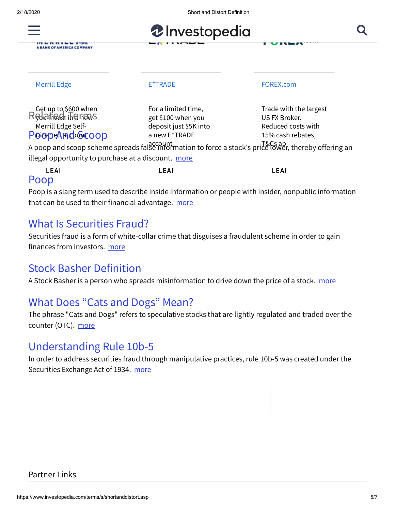2/18/2020 Short and Distort Definition



ITI E R R I L L *Y-TH*.<br>A BANK OF AMERICA COMPANY

| <b>Merrill Edge</b>                                                                         | E*TRADE                                                                              | FOREX.com                                                                                                                                                                                   |
|---------------------------------------------------------------------------------------------|--------------------------------------------------------------------------------------|---------------------------------------------------------------------------------------------------------------------------------------------------------------------------------------------|
| Get up to \$600 when<br>Redained in a head<br>Merrill Edge Self-<br><b>PoicepeAnceGEOOD</b> | For a limited time,<br>get \$100 when you<br>deposit just \$5K into<br>a new E*TRADE | Trade with the largest<br>US FX Broker.<br>Reduced costs with<br>15% cash rebates,<br>A poop and scoop scheme spreads falgecount mation to force a stock's price lower, thereby offering an |

illegal opportunity to purchase at a discount. [more](https://www.investopedia.com/terms/p/poopandscoop.asp)

| LEAI | LEAI | LEAI |
|------|------|------|
| Poop |      |      |

Poop is a slang term used to describe inside information or people with insider, nonpublic information that can be used to their financial advantage. [more](https://www.investopedia.com/terms/p/poop.asp)

#### [What Is Securities Fraud?](https://www.investopedia.com/terms/s/securities-fraud.asp)

Securities fraud is a form of white-collar crime that disguises a fraudulent scheme in order to gain finances from investors. [more](https://www.investopedia.com/terms/s/securities-fraud.asp)

# [Stock Basher Definition](https://www.investopedia.com/terms/s/stockbasher.asp)

A Stock Basher is a person who spreads misinformation to drive down the price of a stock. [more](https://www.investopedia.com/terms/s/stockbasher.asp)

# [What Does "Cats and Dogs" Mean?](https://www.investopedia.com/terms/c/catsanddogs.asp)

The phrase "Cats and Dogs" refers to speculative stocks that are lightly regulated and traded over the counter (OTC). [more](https://www.investopedia.com/terms/c/catsanddogs.asp)

### [Understanding Rule 10b-5](https://www.investopedia.com/terms/r/rule10b5.asp)

In order to address securities fraud through manipulative practices, rule 10b-5 was created under the Securities Exchange Act of 1934. [more](https://www.investopedia.com/terms/r/rule10b5.asp)

### Partner Links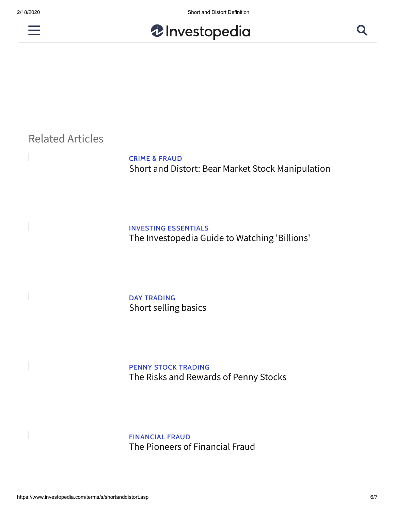



# Related Articles

**CRIME & FRAUD** [Short and Distort: Bear Market Stock Manipulation](https://www.investopedia.com/articles/analyst/030102.asp)

#### **INVESTING ESSENTIALS**

[The Investopedia Guide to Watching 'Billions'](https://www.investopedia.com/investing/investopedias-guide-watching-billions/)

#### **DAY TRADING** [Short selling basics](https://www.investopedia.com/articles/investing/100913/basics-short-selling.asp)

**PENNY STOCK TRADING** [The Risks and Rewards of Penny Stocks](https://www.investopedia.com/updates/penny-stocks-risks-rewards/)

**FINANCIAL FRAUD** [The Pioneers of Financial Fraud](https://www.investopedia.com/articles/financial-theory/09/history-of-fraud.asp)